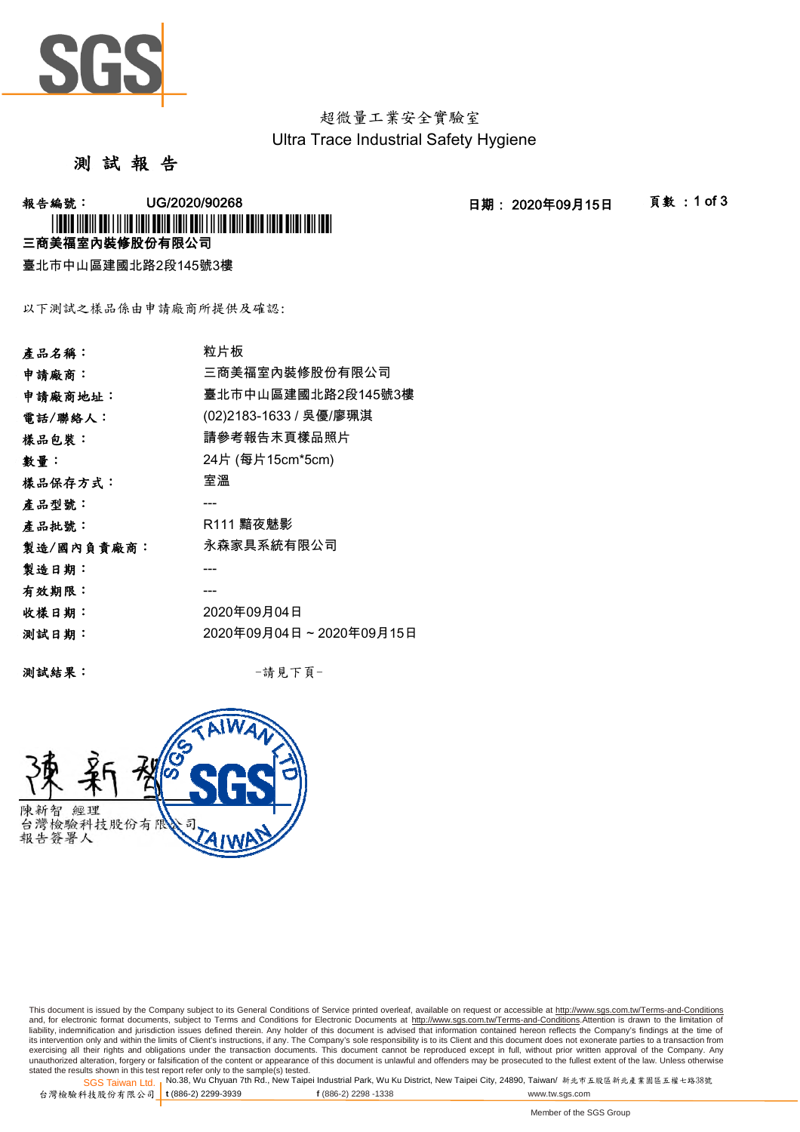

超微量工業安全實驗室 Ultra Trace Industrial Safety Hygiene

## 測 試 報 告

**報告編號: UG/2020/90268 - 2020年09月15日 - 日期: 2020年09月15日 - 頁數:1 of 3** 

三商美福室內裝修股份有限公司 \*UG/2020/90268\*

臺北市中山區建國北路2段145號3樓

以下測試之樣品係由申請廠商所提供及確認:

| 產品名稱:      | 粒片板                     |
|------------|-------------------------|
| 申請廠商:      | 三商美福室內裝修股份有限公司          |
| 申請廠商地址:    | 臺北市中山區建國北路2段145號3樓      |
| 電話/聯絡人:    | (02)2183-1633 / 吳優/廖珮淇  |
| 樣品包裝:      | 請參考報告末頁樣品照片             |
| 數量:        | 24片 (每片15cm*5cm)        |
| 樣品保存方式:    | 室溫                      |
| 產品型號:      |                         |
| 產品批號:      | R111 黯夜魅影               |
| 製造/國內負責廠商: | 永森家具系統有限公司              |
| 製造日期:      |                         |
| 有效期限:      |                         |
| 收樣日期:      | 2020年09月04日             |
| 测試日期:      | 2020年09月04日~2020年09月15日 |
|            |                         |

測試結果: -請見下頁-



This document is issued by the Company subject to its General Conditions of Service printed overleaf, available on request or accessible at <u>http://www.sgs.com.tw/Terms-and-Conditions</u><br>and, for electronic format documents, its intervention only and within the limits of Client's instructions, if any. The Company's sole responsibility is to its Client and this document does not exonerate parties to a transaction from<br>exercising all their right unauthorized alteration, forgery or falsification of the content or appearance of this document is unlawful and offenders may be prosecuted to the fullest extent of the law. Unless otherwise stated the results shown in this test report refer only to the sample(s) tested.<br>SGS Taiwan Ltd.,No.38, Wu Chyuan 7th Rd., New Taipei Industrial Park, Wu Ku District, New Taipei City, 24890, Taiwan/ 新北市五股區新北產業園區五權七路38號

SGS Taiwan Ltd. 1 台灣檢驗科技股份有限公司 t (886-2) 2299-3939 **t** (886-2) 2299-3939 **f** (886-2) 2298 -1338 www.tw.sgs.com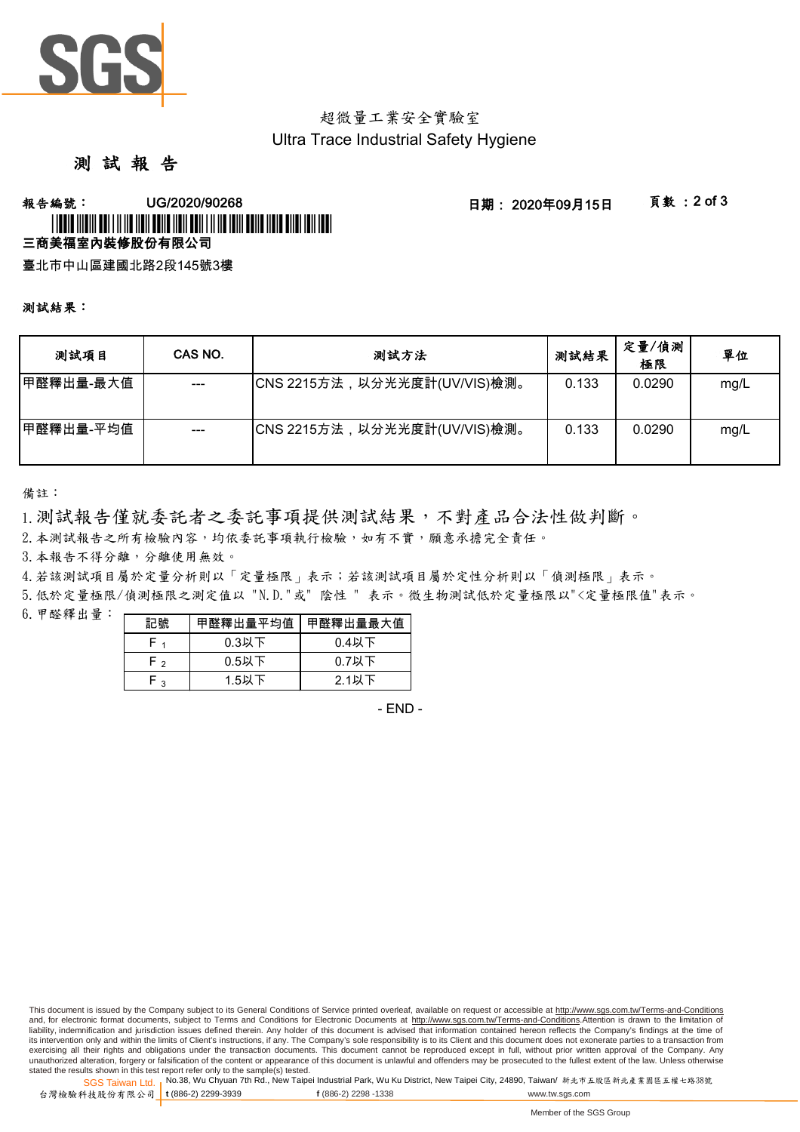

# 超微量工業安全實驗室 Ultra Trace Industrial Safety Hygiene

# 測 試 報 告

### **報告編號: UG/2020/90268 - 2020年09月15日 - 夏敦:2 of 3** 三商美福室內裝修股份有限公司 \* LOUIS AND LOUIS AND LAND AND DURING AND LOUIS AND LOUIS AND USED AND LOUIS

臺北市中山區建國北路2段145號3樓

#### 測試結果:

| 测試項目       | CAS NO. | 測試方法                         | 測試結果  | 定量/偵測<br>極限 | 單位   |
|------------|---------|------------------------------|-------|-------------|------|
| 甲醛釋出量-最大值  | $--$    | CNS 2215方法,以分光光度計(UV/VIS)檢測。 | 0.133 | 0.0290      | mg/L |
| ┃甲醛釋出量-平均值 |         | CNS 2215方法,以分光光度計(UV/VIS)檢測。 | 0.133 | 0.0290      | mg/L |

備註:

1.測試報告僅就委託者之委託事項提供測試結果,不對產品合法性做判斷。

2.本測試報告之所有檢驗內容,均依委託事項執行檢驗,如有不實,願意承擔完全責任。

3. 本報告不得分離,分離使用無效。

4.若該測試項目屬於定量分析則以「定量極限」表示;若該測試項目屬於定性分析則以「偵測極限」表示。

5.低於定量極限/偵測極限之測定值以 "N.D."或" 陰性 " 表示。微生物測試低於定量極限以"<定量極限值"表示。

 $6.$  甲醛釋出量: 一

| 記號              | 甲醛釋出量平均值 | 甲醛釋出量最大值 |  |
|-----------------|----------|----------|--|
|                 | $0.3$ 以下 | $0.4$ 以下 |  |
| $0.5$ 以下<br>⊸ ⊢ |          | $0.7$ 以下 |  |
| ່ າ             | $1.5$ 以下 | 2.1以下    |  |

- END -

This document is issued by the Company subject to its General Conditions of Service printed overleaf, available on request or accessible at http://www.sgs.com.tw/Terms-and-Conditions and, for electronic format documents, subject to Terms and Conditions for Electronic Documents at http://www.sgs.com.tw/Terms-and-Conditions.Attention is drawn to the limitation of liability, indemnification and jurisdiction issues defined therein. Any holder of this document is advised that information contained hereon reflects the Company's findings at the time of its intervention only and within the limits of Client's instructions, if any. The Company's sole responsibility is to its Client and this document does not exonerate parties to a transaction from exercising all their rights and obligations under the transaction documents. This document cannot be reproduced except in full, without prior written approval of the Company. Any unauthorized alteration, forgery or falsification of the content or appearance of this document is unlawful and offenders may be prosecuted to the fullest extent of the law. Unless otherwise stated the results shown in this test report refer only to the sample(s) tested.

SGS Taiwan Ltd. <sub>I</sub>No.38, Wu Chyuan 7th Rd., New Taipei Industrial Park, Wu Ku District, New Taipei City, 24890, Taiwan/ 新北市五股區新北產業園區五權七路38號 台灣檢驗科技股份有限公司 t (886-2) 2299-3939 **t** (886-2) 2299-3939 **f** (886-2) 2298 -1338 www.tw.sgs.com